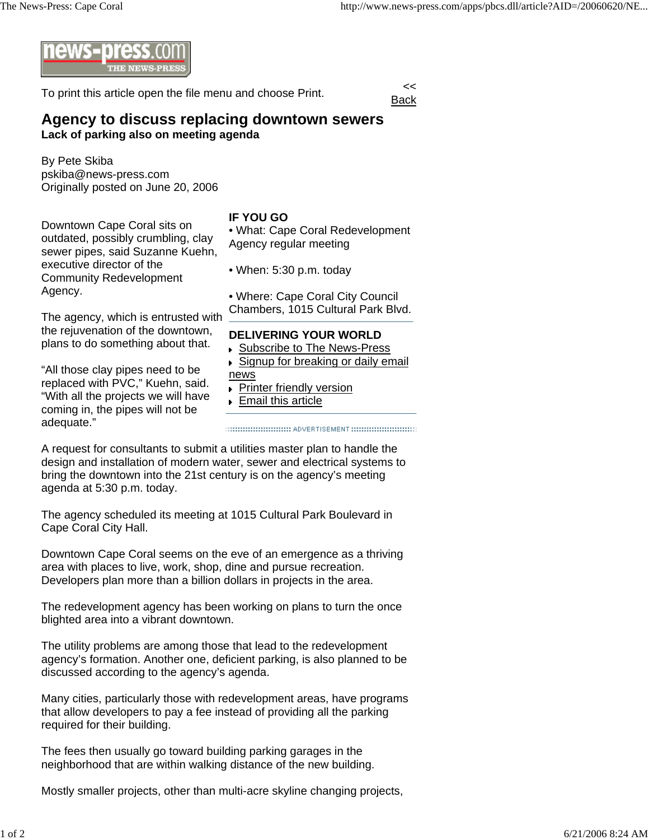

To print this article open the file menu and choose Print.



## **Agency to discuss replacing downtown sewers Lack of parking also on meeting agenda**

By Pete Skiba pskiba@news-press.com Originally posted on June 20, 2006

Downtown Cape Coral sits on outdated, possibly crumbling, clay sewer pipes, said Suzanne Kuehn, executive director of the Community Redevelopment Agency.

## **IF YOU GO**

• What: Cape Coral Redevelopment Agency regular meeting

• When: 5:30 p.m. today

• Where: Cape Coral City Council Chambers, 1015 Cultural Park Blvd.

The agency, which is entrusted with the rejuvenation of the downtown, plans to do something about that.

"All those clay pipes need to be replaced with PVC," Kuehn, said. "With all the projects we will have coming in, the pipes will not be adequate."

## **DELIVERING YOUR WORLD**

- ▶ Subscribe to The News-Press
- ▶ Signup for breaking or daily email news
- **Printer friendly version**
- **Email this article**

A request for consultants to submit a utilities master plan to handle the design and installation of modern water, sewer and electrical systems to bring the downtown into the 21st century is on the agency's meeting agenda at 5:30 p.m. today.

The agency scheduled its meeting at 1015 Cultural Park Boulevard in Cape Coral City Hall.

Downtown Cape Coral seems on the eve of an emergence as a thriving area with places to live, work, shop, dine and pursue recreation. Developers plan more than a billion dollars in projects in the area.

The redevelopment agency has been working on plans to turn the once blighted area into a vibrant downtown.

The utility problems are among those that lead to the redevelopment agency's formation. Another one, deficient parking, is also planned to be discussed according to the agency's agenda.

Many cities, particularly those with redevelopment areas, have programs that allow developers to pay a fee instead of providing all the parking required for their building.

The fees then usually go toward building parking garages in the neighborhood that are within walking distance of the new building.

Mostly smaller projects, other than multi-acre skyline changing projects,